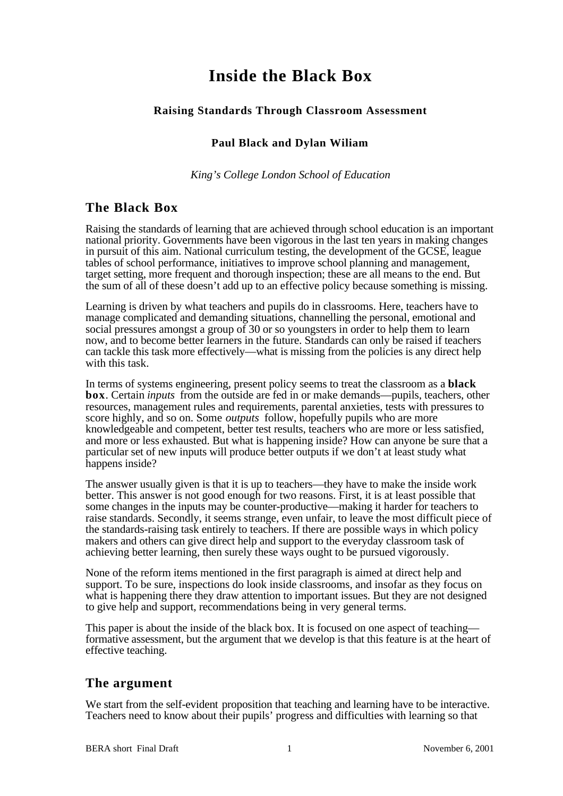# **Inside the Black Box**

### **Raising Standards Through Classroom Assessment**

### **Paul Black and Dylan Wiliam**

*King's College London School of Education*

# **The Black Box**

Raising the standards of learning that are achieved through school education is an important national priority. Governments have been vigorous in the last ten years in making changes in pursuit of this aim. National curriculum testing, the development of the GCSE, league tables of school performance, initiatives to improve school planning and management, target setting, more frequent and thorough inspection; these are all means to the end. But the sum of all of these doesn't add up to an effective policy because something is missing.

Learning is driven by what teachers and pupils do in classrooms. Here, teachers have to manage complicated and demanding situations, channelling the personal, emotional and social pressures amongst a group of 30 or so youngsters in order to help them to learn now, and to become better learners in the future. Standards can only be raised if teachers can tackle this task more effectively—what is missing from the policies is any direct help with this task.

In terms of systems engineering, present policy seems to treat the classroom as a **black box**. Certain *inputs* from the outside are fed in or make demands—pupils, teachers, other resources, management rules and requirements, parental anxieties, tests with pressures to score highly, and so on. Some *outputs* follow, hopefully pupils who are more knowledgeable and competent, better test results, teachers who are more or less satisfied, and more or less exhausted. But what is happening inside? How can anyone be sure that a particular set of new inputs will produce better outputs if we don't at least study what happens inside?

The answer usually given is that it is up to teachers—they have to make the inside work better. This answer is not good enough for two reasons. First, it is at least possible that some changes in the inputs may be counter-productive—making it harder for teachers to raise standards. Secondly, it seems strange, even unfair, to leave the most difficult piece of the standards-raising task entirely to teachers. If there are possible ways in which policy makers and others can give direct help and support to the everyday classroom task of achieving better learning, then surely these ways ought to be pursued vigorously.

None of the reform items mentioned in the first paragraph is aimed at direct help and support. To be sure, inspections do look inside classrooms, and insofar as they focus on what is happening there they draw attention to important issues. But they are not designed to give help and support, recommendations being in very general terms.

This paper is about the inside of the black box. It is focused on one aspect of teaching formative assessment, but the argument that we develop is that this feature is at the heart of effective teaching.

# **The argument**

We start from the self-evident proposition that teaching and learning have to be interactive. Teachers need to know about their pupils' progress and difficulties with learning so that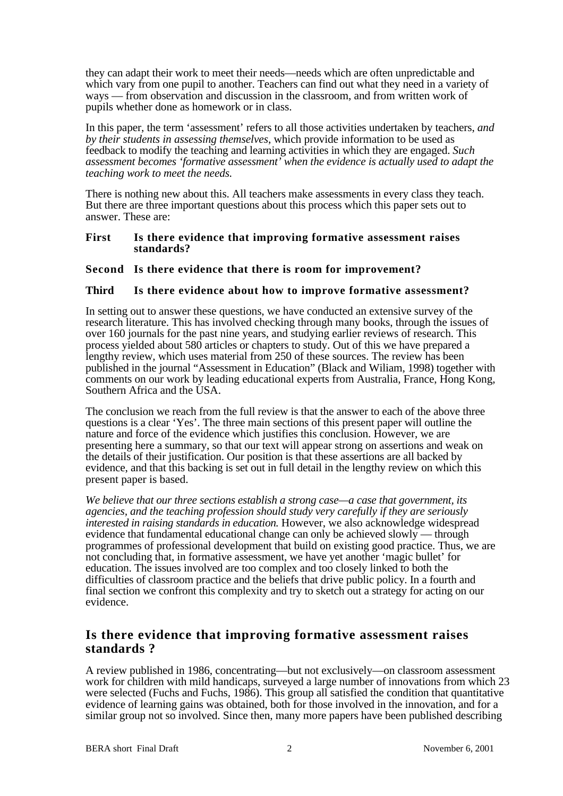they can adapt their work to meet their needs—needs which are often unpredictable and which vary from one pupil to another. Teachers can find out what they need in a variety of ways — from observation and discussion in the classroom, and from written work of pupils whether done as homework or in class.

In this paper, the term 'assessment' refers to all those activities undertaken by teachers, *and by their students in assessing themselves*, which provide information to be used as feedback to modify the teaching and learning activities in which they are engaged. *Such assessment becomes 'formative assessment' when the evidence is actually used to adapt the teaching work to meet the needs.*

There is nothing new about this. All teachers make assessments in every class they teach. But there are three important questions about this process which this paper sets out to answer. These are:

#### **First Is there evidence that improving formative assessment raises standards?**

### **Second Is there evidence that there is room for improvement?**

### **Third Is there evidence about how to improve formative assessment?**

In setting out to answer these questions, we have conducted an extensive survey of the research literature. This has involved checking through many books, through the issues of over 160 journals for the past nine years, and studying earlier reviews of research. This process yielded about 580 articles or chapters to study. Out of this we have prepared a lengthy review, which uses material from 250 of these sources. The review has been published in the journal "Assessment in Education" (Black and Wiliam, 1998) together with comments on our work by leading educational experts from Australia, France, Hong Kong, Southern Africa and the USA.

The conclusion we reach from the full review is that the answer to each of the above three questions is a clear 'Yes'. The three main sections of this present paper will outline the nature and force of the evidence which justifies this conclusion. However, we are presenting here a summary, so that our text will appear strong on assertions and weak on the details of their justification. Our position is that these assertions are all backed by evidence, and that this backing is set out in full detail in the lengthy review on which this present paper is based.

*We believe that our three sections establish a strong case—a case that government, its agencies, and the teaching profession should study very carefully if they are seriously interested in raising standards in education.* However, we also acknowledge widespread evidence that fundamental educational change can only be achieved slowly — through programmes of professional development that build on existing good practice. Thus, we are not concluding that, in formative assessment, we have yet another 'magic bullet' for education. The issues involved are too complex and too closely linked to both the difficulties of classroom practice and the beliefs that drive public policy. In a fourth and final section we confront this complexity and try to sketch out a strategy for acting on our evidence.

# **Is there evidence that improving formative assessment raises standards ?**

A review published in 1986, concentrating—but not exclusively—on classroom assessment work for children with mild handicaps, surveyed a large number of innovations from which 23 were selected (Fuchs and Fuchs, 1986). This group all satisfied the condition that quantitative evidence of learning gains was obtained, both for those involved in the innovation, and for a similar group not so involved. Since then, many more papers have been published describing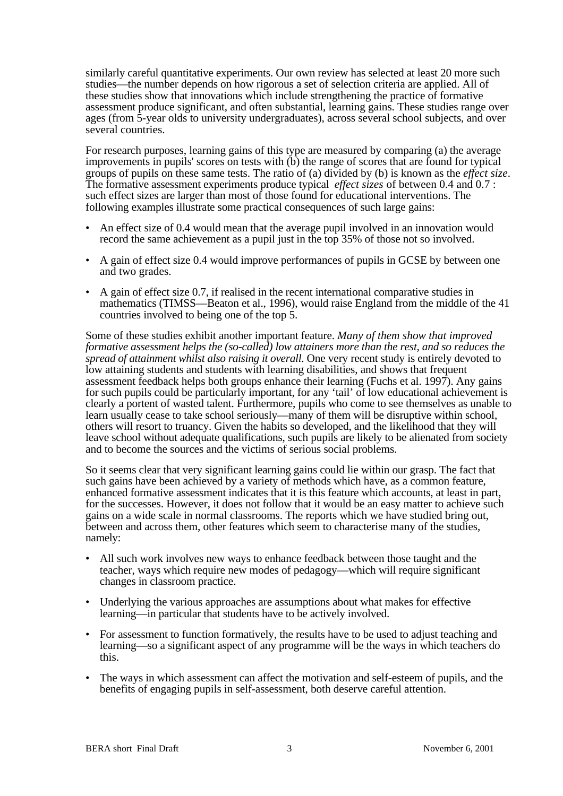similarly careful quantitative experiments. Our own review has selected at least 20 more such studies—the number depends on how rigorous a set of selection criteria are applied. All of these studies show that innovations which include strengthening the practice of formative assessment produce significant, and often substantial, learning gains. These studies range over ages (from 5-year olds to university undergraduates), across several school subjects, and over several countries.

For research purposes, learning gains of this type are measured by comparing (a) the average improvements in pupils' scores on tests with (b) the range of scores that are found for typical groups of pupils on these same tests. The ratio of (a) divided by (b) is known as the *effect size*. The formative assessment experiments produce typical *effect sizes* of between 0.4 and 0.7 : such effect sizes are larger than most of those found for educational interventions. The following examples illustrate some practical consequences of such large gains:

- An effect size of 0.4 would mean that the average pupil involved in an innovation would record the same achievement as a pupil just in the top 35% of those not so involved.
- A gain of effect size 0.4 would improve performances of pupils in GCSE by between one and two grades.
- A gain of effect size 0.7, if realised in the recent international comparative studies in mathematics (TIMSS—Beaton et al., 1996), would raise England from the middle of the 41 countries involved to being one of the top 5.

Some of these studies exhibit another important feature. *Many of them show that improved formative assessment helps the (so-called) low attainers more than the rest, and so reduces the spread of attainment whilst also raising it overall*. One very recent study is entirely devoted to low attaining students and students with learning disabilities, and shows that frequent assessment feedback helps both groups enhance their learning (Fuchs et al. 1997). Any gains for such pupils could be particularly important, for any 'tail' of low educational achievement is clearly a portent of wasted talent. Furthermore, pupils who come to see themselves as unable to learn usually cease to take school seriously—many of them will be disruptive within school, others will resort to truancy. Given the habits so developed, and the likelihood that they will leave school without adequate qualifications, such pupils are likely to be alienated from society and to become the sources and the victims of serious social problems.

So it seems clear that very significant learning gains could lie within our grasp. The fact that such gains have been achieved by a variety of methods which have, as a common feature, enhanced formative assessment indicates that it is this feature which accounts, at least in part, for the successes. However, it does not follow that it would be an easy matter to achieve such gains on a wide scale in normal classrooms. The reports which we have studied bring out, between and across them, other features which seem to characterise many of the studies, namely:

- All such work involves new ways to enhance feedback between those taught and the teacher, ways which require new modes of pedagogy—which will require significant changes in classroom practice.
- Underlying the various approaches are assumptions about what makes for effective learning—in particular that students have to be actively involved.
- For assessment to function formatively, the results have to be used to adjust teaching and learning—so a significant aspect of any programme will be the ways in which teachers do this.
- The ways in which assessment can affect the motivation and self-esteem of pupils, and the benefits of engaging pupils in self-assessment, both deserve careful attention.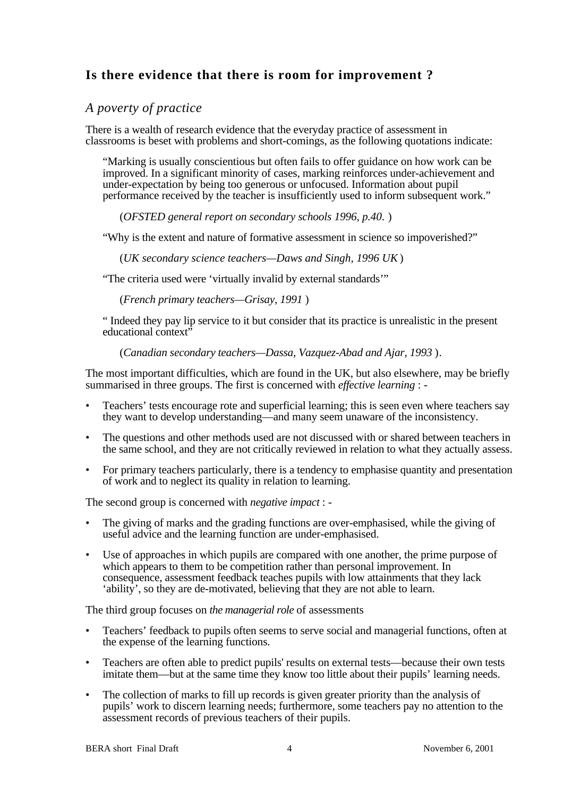# **Is there evidence that there is room for improvement ?**

# *A poverty of practice*

There is a wealth of research evidence that the everyday practice of assessment in classrooms is beset with problems and short-comings, as the following quotations indicate:

"Marking is usually conscientious but often fails to offer guidance on how work can be improved. In a significant minority of cases, marking reinforces under-achievement and under-expectation by being too generous or unfocused. Information about pupil performance received by the teacher is insufficiently used to inform subsequent work."

(*OFSTED general report on secondary schools 1996, p.40*. )

"Why is the extent and nature of formative assessment in science so impoverished?"

(*UK secondary science teachers—Daws and Singh, 1996 UK* )

"The criteria used were 'virtually invalid by external standards'"

(*French primary teachers—Grisay, 1991* )

" Indeed they pay lip service to it but consider that its practice is unrealistic in the present educational context"

(*Canadian secondary teachers—Dassa, Vazquez-Abad and Ajar, 1993* ).

The most important difficulties, which are found in the UK, but also elsewhere, may be briefly summarised in three groups. The first is concerned with *effective learning* : -

- Teachers' tests encourage rote and superficial learning; this is seen even where teachers say they want to develop understanding—and many seem unaware of the inconsistency.
- The questions and other methods used are not discussed with or shared between teachers in the same school, and they are not critically reviewed in relation to what they actually assess.
- For primary teachers particularly, there is a tendency to emphasise quantity and presentation of work and to neglect its quality in relation to learning.

The second group is concerned with *negative impact* : -

- The giving of marks and the grading functions are over-emphasised, while the giving of useful advice and the learning function are under-emphasised.
- Use of approaches in which pupils are compared with one another, the prime purpose of which appears to them to be competition rather than personal improvement. In consequence, assessment feedback teaches pupils with low attainments that they lack 'ability', so they are de-motivated, believing that they are not able to learn.

The third group focuses on *the managerial role* of assessments

- Teachers' feedback to pupils often seems to serve social and managerial functions, often at the expense of the learning functions.
- Teachers are often able to predict pupils' results on external tests—because their own tests imitate them—but at the same time they know too little about their pupils' learning needs.
- The collection of marks to fill up records is given greater priority than the analysis of pupils' work to discern learning needs; furthermore, some teachers pay no attention to the assessment records of previous teachers of their pupils.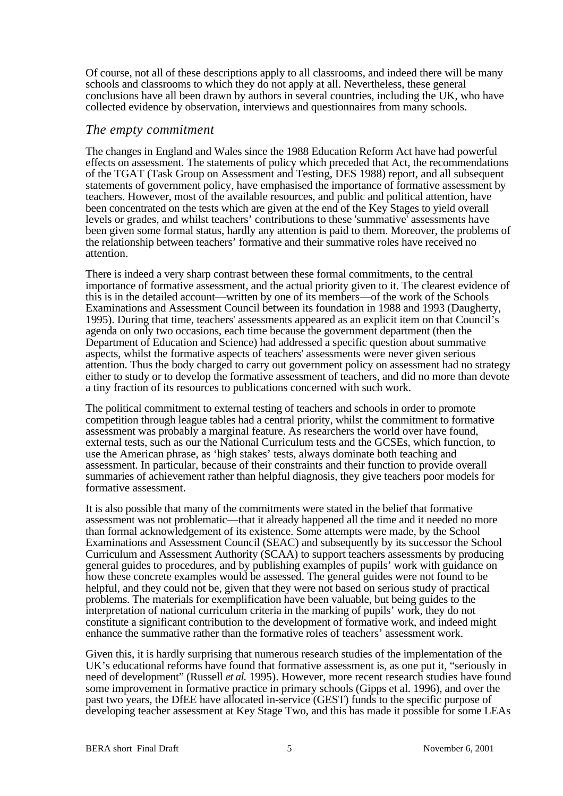Of course, not all of these descriptions apply to all classrooms, and indeed there will be many schools and classrooms to which they do not apply at all. Nevertheless, these general conclusions have all been drawn by authors in several countries, including the UK, who have collected evidence by observation, interviews and questionnaires from many schools.

### *The empty commitment*

The changes in England and Wales since the 1988 Education Reform Act have had powerful effects on assessment. The statements of policy which preceded that Act, the recommendations of the TGAT (Task Group on Assessment and Testing, DES 1988) report, and all subsequent statements of government policy, have emphasised the importance of formative assessment by teachers. However, most of the available resources, and public and political attention, have been concentrated on the tests which are given at the end of the Key Stages to yield overall levels or grades, and whilst teachers' contributions to these 'summative' assessments have been given some formal status, hardly any attention is paid to them. Moreover, the problems of the relationship between teachers' formative and their summative roles have received no attention.

There is indeed a very sharp contrast between these formal commitments, to the central importance of formative assessment, and the actual priority given to it. The clearest evidence of this is in the detailed account—written by one of its members—of the work of the Schools Examinations and Assessment Council between its foundation in 1988 and 1993 (Daugherty, 1995). During that time, teachers' assessments appeared as an explicit item on that Council's agenda on only two occasions, each time because the government department (then the Department of Education and Science) had addressed a specific question about summative aspects, whilst the formative aspects of teachers' assessments were never given serious attention. Thus the body charged to carry out government policy on assessment had no strategy either to study or to develop the formative assessment of teachers, and did no more than devote a tiny fraction of its resources to publications concerned with such work.

The political commitment to external testing of teachers and schools in order to promote competition through league tables had a central priority, whilst the commitment to formative assessment was probably a marginal feature. As researchers the world over have found, external tests, such as our the National Curriculum tests and the GCSEs, which function, to use the American phrase, as 'high stakes' tests, always dominate both teaching and assessment. In particular, because of their constraints and their function to provide overall summaries of achievement rather than helpful diagnosis, they give teachers poor models for formative assessment.

It is also possible that many of the commitments were stated in the belief that formative assessment was not problematic—that it already happened all the time and it needed no more than formal acknowledgement of its existence. Some attempts were made, by the School Examinations and Assessment Council (SEAC) and subsequently by its successor the School Curriculum and Assessment Authority (SCAA) to support teachers assessments by producing general guides to procedures, and by publishing examples of pupils' work with guidance on how these concrete examples would be assessed. The general guides were not found to be helpful, and they could not be, given that they were not based on serious study of practical problems. The materials for exemplification have been valuable, but being guides to the interpretation of national curriculum criteria in the marking of pupils' work, they do not constitute a significant contribution to the development of formative work, and indeed might enhance the summative rather than the formative roles of teachers' assessment work.

Given this, it is hardly surprising that numerous research studies of the implementation of the UK's educational reforms have found that formative assessment is, as one put it, "seriously in need of development" (Russell *et al*. 1995). However, more recent research studies have found some improvement in formative practice in primary schools (Gipps et al. 1996), and over the past two years, the DfEE have allocated in-service (GEST) funds to the specific purpose of developing teacher assessment at Key Stage Two, and this has made it possible for some LEAs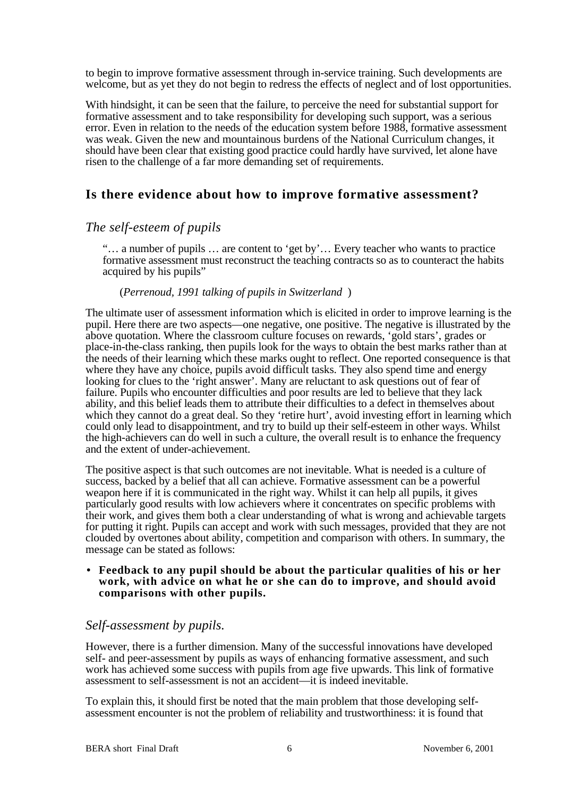to begin to improve formative assessment through in-service training. Such developments are welcome, but as yet they do not begin to redress the effects of neglect and of lost opportunities.

With hindsight, it can be seen that the failure, to perceive the need for substantial support for formative assessment and to take responsibility for developing such support, was a serious error. Even in relation to the needs of the education system before 1988, formative assessment was weak. Given the new and mountainous burdens of the National Curriculum changes, it should have been clear that existing good practice could hardly have survived, let alone have risen to the challenge of a far more demanding set of requirements.

# **Is there evidence about how to improve formative assessment?**

### *The self-esteem of pupils*

"… a number of pupils … are content to 'get by'… Every teacher who wants to practice formative assessment must reconstruct the teaching contracts so as to counteract the habits acquired by his pupils"

### (*Perrenoud, 1991 talking of pupils in Switzerland* )

The ultimate user of assessment information which is elicited in order to improve learning is the pupil. Here there are two aspects—one negative, one positive. The negative is illustrated by the above quotation. Where the classroom culture focuses on rewards, 'gold stars', grades or place-in-the-class ranking, then pupils look for the ways to obtain the best marks rather than at the needs of their learning which these marks ought to reflect. One reported consequence is that where they have any choice, pupils avoid difficult tasks. They also spend time and energy looking for clues to the 'right answer'. Many are reluctant to ask questions out of fear of failure. Pupils who encounter difficulties and poor results are led to believe that they lack ability, and this belief leads them to attribute their difficulties to a defect in themselves about which they cannot do a great deal. So they 'retire hurt', avoid investing effort in learning which could only lead to disappointment, and try to build up their self-esteem in other ways. Whilst the high-achievers can do well in such a culture, the overall result is to enhance the frequency and the extent of under-achievement.

The positive aspect is that such outcomes are not inevitable. What is needed is a culture of success, backed by a belief that all can achieve. Formative assessment can be a powerful weapon here if it is communicated in the right way. Whilst it can help all pupils, it gives particularly good results with low achievers where it concentrates on specific problems with their work, and gives them both a clear understanding of what is wrong and achievable targets for putting it right. Pupils can accept and work with such messages, provided that they are not clouded by overtones about ability, competition and comparison with others. In summary, the message can be stated as follows:

#### **• Feedback to any pupil should be about the particular qualities of his or her work, with advice on what he or she can do to improve, and should avoid comparisons with other pupils.**

### *Self-assessment by pupils.*

However, there is a further dimension. Many of the successful innovations have developed self- and peer-assessment by pupils as ways of enhancing formative assessment, and such work has achieved some success with pupils from age five upwards. This link of formative assessment to self-assessment is not an accident—it is indeed inevitable.

To explain this, it should first be noted that the main problem that those developing selfassessment encounter is not the problem of reliability and trustworthiness: it is found that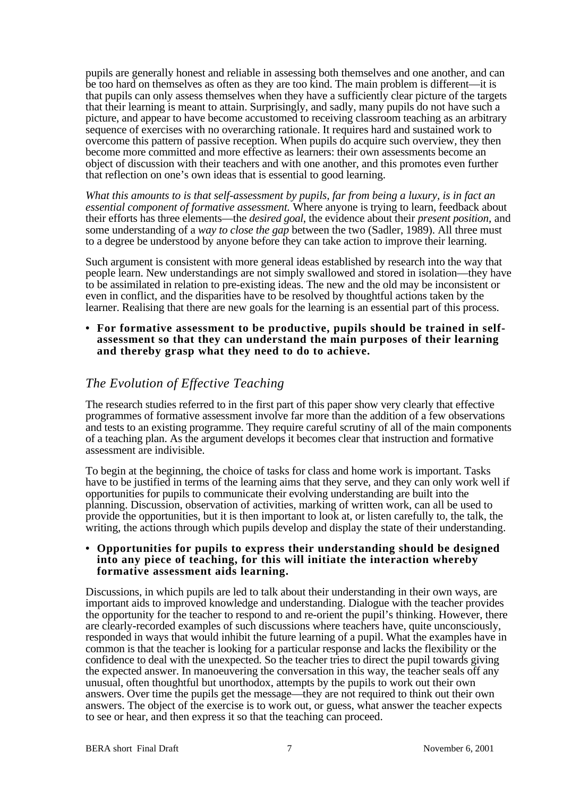pupils are generally honest and reliable in assessing both themselves and one another, and can be too hard on themselves as often as they are too kind. The main problem is different—it is that pupils can only assess themselves when they have a sufficiently clear picture of the targets that their learning is meant to attain. Surprisingly, and sadly, many pupils do not have such a picture, and appear to have become accustomed to receiving classroom teaching as an arbitrary sequence of exercises with no overarching rationale. It requires hard and sustained work to overcome this pattern of passive reception. When pupils do acquire such overview, they then become more committed and more effective as learners: their own assessments become an object of discussion with their teachers and with one another, and this promotes even further that reflection on one's own ideas that is essential to good learning.

*What this amounts to is that self-assessment by pupils, far from being a luxury, is in fact an essential component of formative assessment.* Where anyone is trying to learn, feedback about their efforts has three elements—the *desired goal*, the evidence about their *present position*, and some understanding of a *way to close the gap* between the two (Sadler, 1989). All three must to a degree be understood by anyone before they can take action to improve their learning.

Such argument is consistent with more general ideas established by research into the way that people learn. New understandings are not simply swallowed and stored in isolation—they have to be assimilated in relation to pre-existing ideas. The new and the old may be inconsistent or even in conflict, and the disparities have to be resolved by thoughtful actions taken by the learner. Realising that there are new goals for the learning is an essential part of this process.

**• For formative assessment to be productive, pupils should be trained in selfassessment so that they can understand the main purposes of their learning and thereby grasp what they need to do to achieve.**

# *The Evolution of Effective Teaching*

The research studies referred to in the first part of this paper show very clearly that effective programmes of formative assessment involve far more than the addition of a few observations and tests to an existing programme. They require careful scrutiny of all of the main components of a teaching plan. As the argument develops it becomes clear that instruction and formative assessment are indivisible.

To begin at the beginning, the choice of tasks for class and home work is important. Tasks have to be justified in terms of the learning aims that they serve, and they can only work well if opportunities for pupils to communicate their evolving understanding are built into the planning. Discussion, observation of activities, marking of written work, can all be used to provide the opportunities, but it is then important to look at, or listen carefully to, the talk, the writing, the actions through which pupils develop and display the state of their understanding.

#### **• Opportunities for pupils to express their understanding should be designed into any piece of teaching, for this will initiate the interaction whereby formative assessment aids learning.**

Discussions, in which pupils are led to talk about their understanding in their own ways, are important aids to improved knowledge and understanding. Dialogue with the teacher provides the opportunity for the teacher to respond to and re-orient the pupil's thinking. However, there are clearly-recorded examples of such discussions where teachers have, quite unconsciously, responded in ways that would inhibit the future learning of a pupil. What the examples have in common is that the teacher is looking for a particular response and lacks the flexibility or the confidence to deal with the unexpected. So the teacher tries to direct the pupil towards giving the expected answer. In manoeuvering the conversation in this way, the teacher seals off any unusual, often thoughtful but unorthodox, attempts by the pupils to work out their own answers. Over time the pupils get the message—they are not required to think out their own answers. The object of the exercise is to work out, or guess, what answer the teacher expects to see or hear, and then express it so that the teaching can proceed.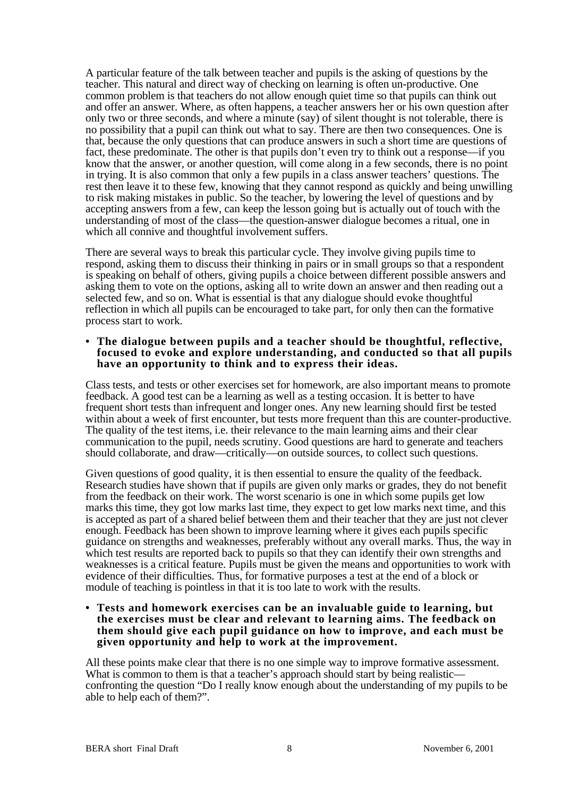A particular feature of the talk between teacher and pupils is the asking of questions by the teacher. This natural and direct way of checking on learning is often un-productive. One common problem is that teachers do not allow enough quiet time so that pupils can think out and offer an answer. Where, as often happens, a teacher answers her or his own question after only two or three seconds, and where a minute (say) of silent thought is not tolerable, there is no possibility that a pupil can think out what to say. There are then two consequences. One is that, because the only questions that can produce answers in such a short time are questions of fact, these predominate. The other is that pupils don't even try to think out a response—if you know that the answer, or another question, will come along in a few seconds, there is no point in trying. It is also common that only a few pupils in a class answer teachers' questions. The rest then leave it to these few, knowing that they cannot respond as quickly and being unwilling to risk making mistakes in public. So the teacher, by lowering the level of questions and by accepting answers from a few, can keep the lesson going but is actually out of touch with the understanding of most of the class—the question-answer dialogue becomes a ritual, one in which all connive and thoughtful involvement suffers.

There are several ways to break this particular cycle. They involve giving pupils time to respond, asking them to discuss their thinking in pairs or in small groups so that a respondent is speaking on behalf of others, giving pupils a choice between different possible answers and asking them to vote on the options, asking all to write down an answer and then reading out a selected few, and so on. What is essential is that any dialogue should evoke thoughtful reflection in which all pupils can be encouraged to take part, for only then can the formative process start to work.

#### **• The dialogue between pupils and a teacher should be thoughtful, reflective, focused to evoke and explore understanding, and conducted so that all pupils have an opportunity to think and to express their ideas.**

Class tests, and tests or other exercises set for homework, are also important means to promote feedback. A good test can be a learning as well as a testing occasion. It is better to have frequent short tests than infrequent and longer ones. Any new learning should first be tested within about a week of first encounter, but tests more frequent than this are counter-productive. The quality of the test items, i.e. their relevance to the main learning aims and their clear communication to the pupil, needs scrutiny. Good questions are hard to generate and teachers should collaborate, and draw—critically—on outside sources, to collect such questions.

Given questions of good quality, it is then essential to ensure the quality of the feedback. Research studies have shown that if pupils are given only marks or grades, they do not benefit from the feedback on their work. The worst scenario is one in which some pupils get low marks this time, they got low marks last time, they expect to get low marks next time, and this is accepted as part of a shared belief between them and their teacher that they are just not clever enough. Feedback has been shown to improve learning where it gives each pupils specific guidance on strengths and weaknesses, preferably without any overall marks. Thus, the way in which test results are reported back to pupils so that they can identify their own strengths and weaknesses is a critical feature. Pupils must be given the means and opportunities to work with evidence of their difficulties. Thus, for formative purposes a test at the end of a block or module of teaching is pointless in that it is too late to work with the results.

#### **• Tests and homework exercises can be an invaluable guide to learning, but the exercises must be clear and relevant to learning aims. The feedback on them should give each pupil guidance on how to improve, and each must be given opportunity and help to work at the improvement.**

All these points make clear that there is no one simple way to improve formative assessment. What is common to them is that a teacher's approach should start by being realistic confronting the question "Do I really know enough about the understanding of my pupils to be able to help each of them?".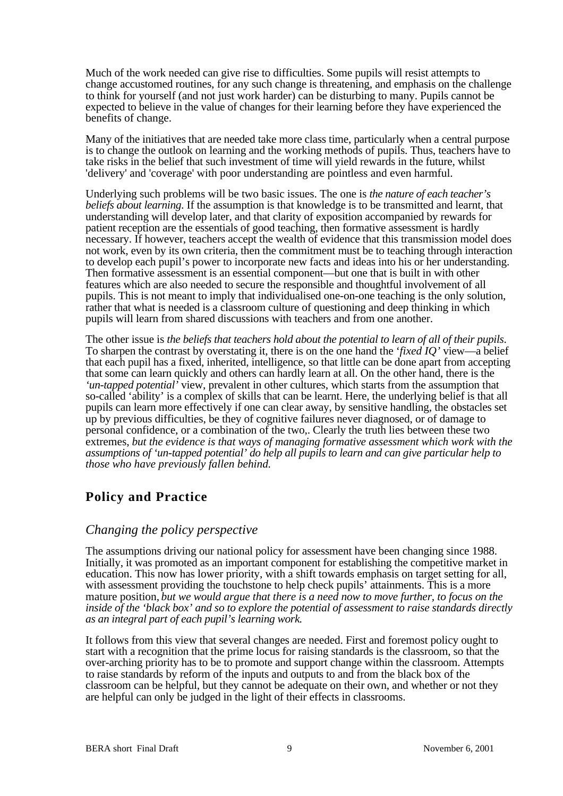Much of the work needed can give rise to difficulties. Some pupils will resist attempts to change accustomed routines, for any such change is threatening, and emphasis on the challenge to think for yourself (and not just work harder) can be disturbing to many. Pupils cannot be expected to believe in the value of changes for their learning before they have experienced the benefits of change.

Many of the initiatives that are needed take more class time, particularly when a central purpose is to change the outlook on learning and the working methods of pupils. Thus, teachers have to take risks in the belief that such investment of time will yield rewards in the future, whilst 'delivery' and 'coverage' with poor understanding are pointless and even harmful.

Underlying such problems will be two basic issues. The one is *the nature of each teacher's beliefs about learning*. If the assumption is that knowledge is to be transmitted and learnt, that understanding will develop later, and that clarity of exposition accompanied by rewards for patient reception are the essentials of good teaching, then formative assessment is hardly necessary. If however, teachers accept the wealth of evidence that this transmission model does not work, even by its own criteria, then the commitment must be to teaching through interaction to develop each pupil's power to incorporate new facts and ideas into his or her understanding. Then formative assessment is an essential component—but one that is built in with other features which are also needed to secure the responsible and thoughtful involvement of all pupils. This is not meant to imply that individualised one-on-one teaching is the only solution, rather that what is needed is a classroom culture of questioning and deep thinking in which pupils will learn from shared discussions with teachers and from one another.

The other issue is *the beliefs that teachers hold about the potential to learn of all of their pupils*. To sharpen the contrast by overstating it, there is on the one hand the '*fixed IQ'* view—a belief that each pupil has a fixed, inherited, intelligence, so that little can be done apart from accepting that some can learn quickly and others can hardly learn at all. On the other hand, there is the *'un-tapped potential'* view, prevalent in other cultures, which starts from the assumption that so-called 'ability' is a complex of skills that can be learnt. Here, the underlying belief is that all pupils can learn more effectively if one can clear away, by sensitive handling, the obstacles set up by previous difficulties, be they of cognitive failures never diagnosed, or of damage to personal confidence, or a combination of the two,. Clearly the truth lies between these two extremes, *but the evidence is that ways of managing formative assessment which work with the assumptions of 'un-tapped potential' do help all pupils to learn and can give particular help to those who have previously fallen behind.*

# **Policy and Practice**

# *Changing the policy perspective*

The assumptions driving our national policy for assessment have been changing since 1988. Initially, it was promoted as an important component for establishing the competitive market in education. This now has lower priority, with a shift towards emphasis on target setting for all, with assessment providing the touchstone to help check pupils' attainments. This is a more mature position, *but we would argue that there is a need now to move further, to focus on the inside of the 'black box' and so to explore the potential of assessment to raise standards directly as an integral part of each pupil's learning work.*

It follows from this view that several changes are needed. First and foremost policy ought to start with a recognition that the prime locus for raising standards is the classroom, so that the over-arching priority has to be to promote and support change within the classroom. Attempts to raise standards by reform of the inputs and outputs to and from the black box of the classroom can be helpful, but they cannot be adequate on their own, and whether or not they are helpful can only be judged in the light of their effects in classrooms.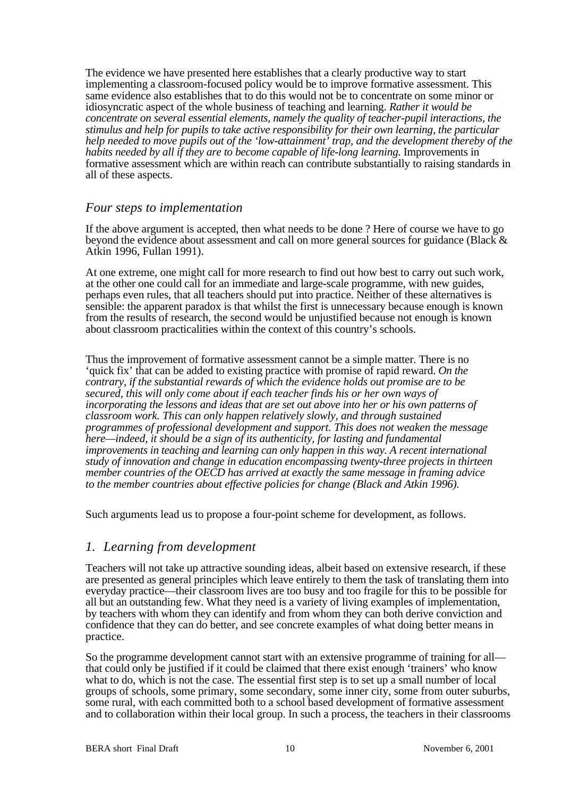The evidence we have presented here establishes that a clearly productive way to start implementing a classroom-focused policy would be to improve formative assessment. This same evidence also establishes that to do this would not be to concentrate on some minor or idiosyncratic aspect of the whole business of teaching and learning. *Rather it would be concentrate on several essential elements, namely the quality of teacher-pupil interactions, the stimulus and help for pupils to take active responsibility for their own learning, the particular help needed to move pupils out of the 'low-attainment' trap, and the development thereby of the habits needed by all if they are to become capable of life-long learning. Improvements in* formative assessment which are within reach can contribute substantially to raising standards in all of these aspects.

### *Four steps to implementation*

If the above argument is accepted, then what needs to be done ? Here of course we have to go beyond the evidence about assessment and call on more general sources for guidance (Black & Atkin 1996, Fullan 1991).

At one extreme, one might call for more research to find out how best to carry out such work, at the other one could call for an immediate and large-scale programme, with new guides, perhaps even rules, that all teachers should put into practice. Neither of these alternatives is sensible: the apparent paradox is that whilst the first is unnecessary because enough is known from the results of research, the second would be unjustified because not enough is known about classroom practicalities within the context of this country's schools.

Thus the improvement of formative assessment cannot be a simple matter. There is no 'quick fix' that can be added to existing practice with promise of rapid reward. *On the contrary, if the substantial rewards of which the evidence holds out promise are to be secured, this will only come about if each teacher finds his or her own ways of incorporating the lessons and ideas that are set out above into her or his own patterns of classroom work. This can only happen relatively slowly, and through sustained programmes of professional development and support. This does not weaken the message here—indeed, it should be a sign of its authenticity, for lasting and fundamental improvements in teaching and learning can only happen in this way. A recent international study of innovation and change in education encompassing twenty-three projects in thirteen member countries of the OECD has arrived at exactly the same message in framing advice to the member countries about effective policies for change (Black and Atkin 1996).*

Such arguments lead us to propose a four-point scheme for development, as follows.

### *1. Learning from development*

Teachers will not take up attractive sounding ideas, albeit based on extensive research, if these are presented as general principles which leave entirely to them the task of translating them into everyday practice—their classroom lives are too busy and too fragile for this to be possible for all but an outstanding few. What they need is a variety of living examples of implementation, by teachers with whom they can identify and from whom they can both derive conviction and confidence that they can do better, and see concrete examples of what doing better means in practice.

So the programme development cannot start with an extensive programme of training for all that could only be justified if it could be claimed that there exist enough 'trainers' who know what to do, which is not the case. The essential first step is to set up a small number of local groups of schools, some primary, some secondary, some inner city, some from outer suburbs, some rural, with each committed both to a school based development of formative assessment and to collaboration within their local group. In such a process, the teachers in their classrooms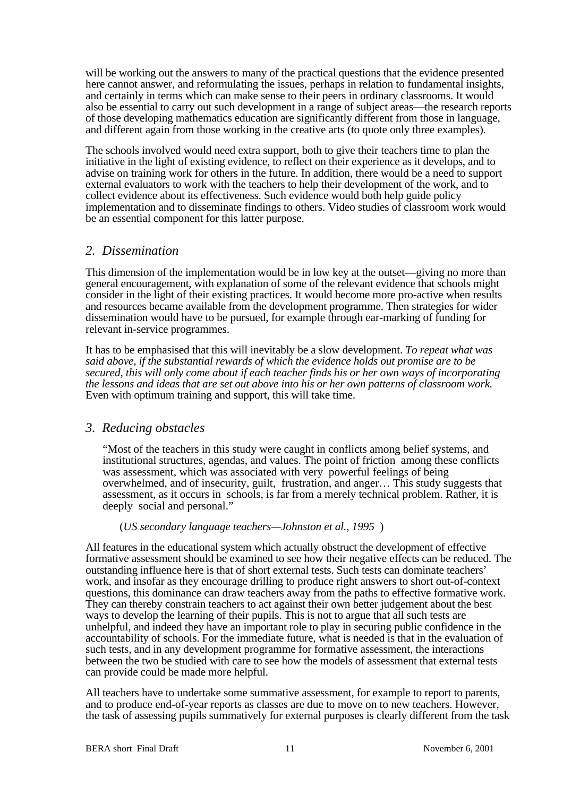will be working out the answers to many of the practical questions that the evidence presented here cannot answer, and reformulating the issues, perhaps in relation to fundamental insights, and certainly in terms which can make sense to their peers in ordinary classrooms. It would also be essential to carry out such development in a range of subject areas—the research reports of those developing mathematics education are significantly different from those in language, and different again from those working in the creative arts (to quote only three examples).

The schools involved would need extra support, both to give their teachers time to plan the initiative in the light of existing evidence, to reflect on their experience as it develops, and to advise on training work for others in the future. In addition, there would be a need to support external evaluators to work with the teachers to help their development of the work, and to collect evidence about its effectiveness. Such evidence would both help guide policy implementation and to disseminate findings to others. Video studies of classroom work would be an essential component for this latter purpose.

### *2. Dissemination*

This dimension of the implementation would be in low key at the outset—giving no more than general encouragement, with explanation of some of the relevant evidence that schools might consider in the light of their existing practices. It would become more pro-active when results and resources became available from the development programme. Then strategies for wider dissemination would have to be pursued, for example through ear-marking of funding for relevant in-service programmes.

It has to be emphasised that this will inevitably be a slow development. *To repeat what was said above, if the substantial rewards of which the evidence holds out promise are to be secured, this will only come about if each teacher finds his or her own ways of incorporating the lessons and ideas that are set out above into his or her own patterns of classroom work.* Even with optimum training and support, this will take time.

### *3. Reducing obstacles*

"Most of the teachers in this study were caught in conflicts among belief systems, and institutional structures, agendas, and values. The point of friction among these conflicts was assessment, which was associated with very powerful feelings of being overwhelmed, and of insecurity, guilt, frustration, and anger… This study suggests that assessment, as it occurs in schools, is far from a merely technical problem. Rather, it is deeply social and personal."

### (*US secondary language teachers—Johnston et al., 1995* )

All features in the educational system which actually obstruct the development of effective formative assessment should be examined to see how their negative effects can be reduced. The outstanding influence here is that of short external tests. Such tests can dominate teachers' work, and insofar as they encourage drilling to produce right answers to short out-of-context questions, this dominance can draw teachers away from the paths to effective formative work. They can thereby constrain teachers to act against their own better judgement about the best ways to develop the learning of their pupils. This is not to argue that all such tests are unhelpful, and indeed they have an important role to play in securing public confidence in the accountability of schools. For the immediate future, what is needed is that in the evaluation of such tests, and in any development programme for formative assessment, the interactions between the two be studied with care to see how the models of assessment that external tests can provide could be made more helpful.

All teachers have to undertake some summative assessment, for example to report to parents, and to produce end-of-year reports as classes are due to move on to new teachers. However, the task of assessing pupils summatively for external purposes is clearly different from the task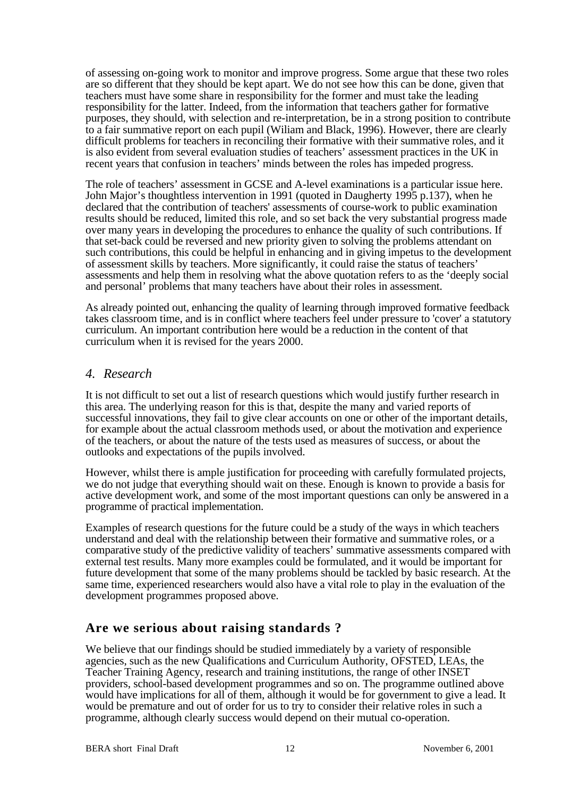of assessing on-going work to monitor and improve progress. Some argue that these two roles are so different that they should be kept apart. We do not see how this can be done, given that teachers must have some share in responsibility for the former and must take the leading responsibility for the latter. Indeed, from the information that teachers gather for formative purposes, they should, with selection and re-interpretation, be in a strong position to contribute to a fair summative report on each pupil (Wiliam and Black, 1996). However, there are clearly difficult problems for teachers in reconciling their formative with their summative roles, and it is also evident from several evaluation studies of teachers' assessment practices in the UK in recent years that confusion in teachers' minds between the roles has impeded progress.

The role of teachers' assessment in GCSE and A-level examinations is a particular issue here. John Major's thoughtless intervention in 1991 (quoted in Daugherty 1995 p.137), when he declared that the contribution of teachers' assessments of course-work to public examination results should be reduced, limited this role, and so set back the very substantial progress made over many years in developing the procedures to enhance the quality of such contributions. If that set-back could be reversed and new priority given to solving the problems attendant on such contributions, this could be helpful in enhancing and in giving impetus to the development of assessment skills by teachers. More significantly, it could raise the status of teachers' assessments and help them in resolving what the above quotation refers to as the 'deeply social and personal' problems that many teachers have about their roles in assessment.

As already pointed out, enhancing the quality of learning through improved formative feedback takes classroom time, and is in conflict where teachers feel under pressure to 'cover' a statutory curriculum. An important contribution here would be a reduction in the content of that curriculum when it is revised for the years 2000.

### *4. Research*

It is not difficult to set out a list of research questions which would justify further research in this area. The underlying reason for this is that, despite the many and varied reports of successful innovations, they fail to give clear accounts on one or other of the important details, for example about the actual classroom methods used, or about the motivation and experience of the teachers, or about the nature of the tests used as measures of success, or about the outlooks and expectations of the pupils involved.

However, whilst there is ample justification for proceeding with carefully formulated projects, we do not judge that everything should wait on these. Enough is known to provide a basis for active development work, and some of the most important questions can only be answered in a programme of practical implementation.

Examples of research questions for the future could be a study of the ways in which teachers understand and deal with the relationship between their formative and summative roles, or a comparative study of the predictive validity of teachers' summative assessments compared with external test results. Many more examples could be formulated, and it would be important for future development that some of the many problems should be tackled by basic research. At the same time, experienced researchers would also have a vital role to play in the evaluation of the development programmes proposed above.

# **Are we serious about raising standards ?**

We believe that our findings should be studied immediately by a variety of responsible agencies, such as the new Qualifications and Curriculum Authority, OFSTED, LEAs, the Teacher Training Agency, research and training institutions, the range of other INSET providers, school-based development programmes and so on. The programme outlined above would have implications for all of them, although it would be for government to give a lead. It would be premature and out of order for us to try to consider their relative roles in such a programme, although clearly success would depend on their mutual co-operation.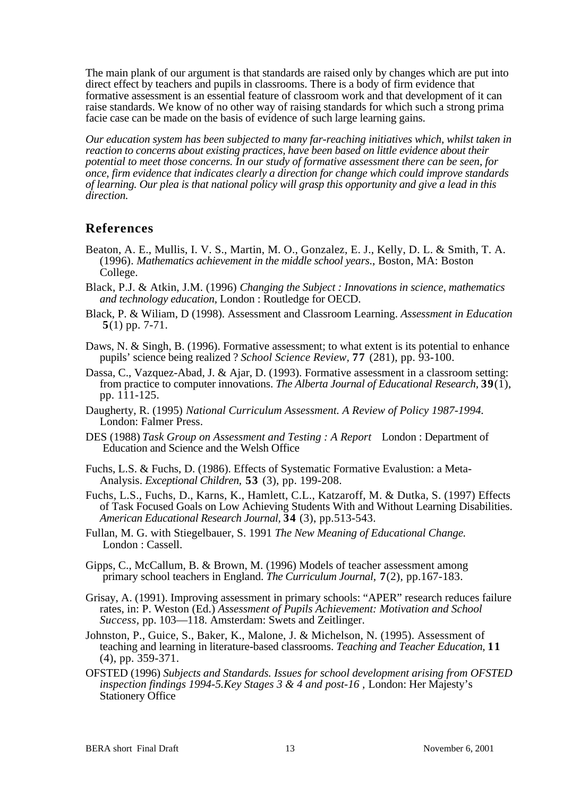The main plank of our argument is that standards are raised only by changes which are put into direct effect by teachers and pupils in classrooms. There is a body of firm evidence that formative assessment is an essential feature of classroom work and that development of it can raise standards. We know of no other way of raising standards for which such a strong prima facie case can be made on the basis of evidence of such large learning gains.

*Our education system has been subjected to many far-reaching initiatives which, whilst taken in reaction to concerns about existing practices, have been based on little evidence about their potential to meet those concerns. In our study of formative assessment there can be seen, for once, firm evidence that indicates clearly a direction for change which could improve standards of learning. Our plea is that national policy will grasp this opportunity and give a lead in this direction.*

### **References**

- Beaton, A. E., Mullis, I. V. S., Martin, M. O., Gonzalez, E. J., Kelly, D. L. & Smith, T. A. (1996). *Mathematics achievement in the middle school years*., Boston, MA: Boston College.
- Black, P.J. & Atkin, J.M. (1996) *Changing the Subject : Innovations in science, mathematics and technology education,* London : Routledge for OECD.
- Black, P. & Wiliam, D (1998). Assessment and Classroom Learning. *Assessment in Education* **5**(1) pp. 7-71.
- Daws, N. & Singh, B. (1996). Formative assessment; to what extent is its potential to enhance pupils' science being realized ? *School Science Review,* **77** (281), pp. 93-100.
- Dassa, C., Vazquez-Abad, J. & Ajar, D. (1993). Formative assessment in a classroom setting: from practice to computer innovations. *The Alberta Journal of Educational Research,* **39**(1), pp. 111-125.
- Daugherty, R. (1995) *National Curriculum Assessment. A Review of Policy 1987-1994.* London: Falmer Press.
- DES (1988) *Task Group on Assessment and Testing : A Report* London : Department of Education and Science and the Welsh Office
- Fuchs, L.S. & Fuchs, D. (1986). Effects of Systematic Formative Evalustion: a Meta-Analysis. *Exceptional Children*, **53** (3), pp. 199-208.
- Fuchs, L.S., Fuchs, D., Karns, K., Hamlett, C.L., Katzaroff, M. & Dutka, S. (1997) Effects of Task Focused Goals on Low Achieving Students With and Without Learning Disabilities. *American Educational Research Journal,* **34** (3), pp.513-543.
- Fullan, M. G. with Stiegelbauer, S. 1991 *The New Meaning of Educational Change.* London : Cassell.
- Gipps, C., McCallum, B. & Brown, M. (1996) Models of teacher assessment among primary school teachers in England. *The Curriculum Journal*, **7**(2), pp.167-183.
- Grisay, A. (1991). Improving assessment in primary schools: "APER" research reduces failure rates, in: P. Weston (Ed.) *Assessment of Pupils Achievement: Motivation and School Success,* pp. 103—118. Amsterdam: Swets and Zeitlinger.
- Johnston, P., Guice, S., Baker, K., Malone, J. & Michelson, N. (1995). Assessment of teaching and learning in literature-based classrooms. *Teaching and Teacher Education,* **11** (4), pp. 359-371.
- OFSTED (1996) *Subjects and Standards. Issues for school development arising from OFSTED inspection findings 1994-5.Key Stages 3 & 4 and post-16 ,* London: Her Majesty's Stationery Office